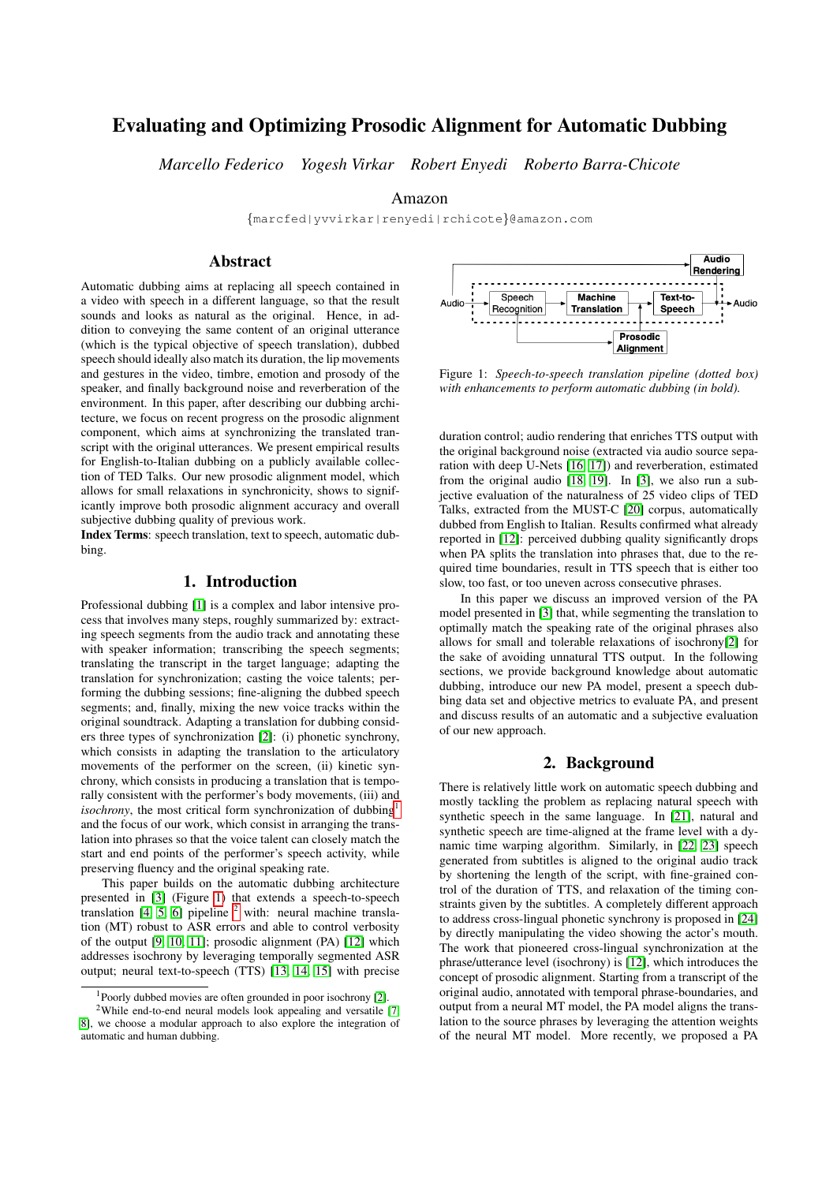# Evaluating and Optimizing Prosodic Alignment for Automatic Dubbing

*Marcello Federico Yogesh Virkar Robert Enyedi Roberto Barra-Chicote*

Amazon

{marcfed|yvvirkar|renyedi|rchicote}@amazon.com

# Abstract

Automatic dubbing aims at replacing all speech contained in a video with speech in a different language, so that the result sounds and looks as natural as the original. Hence, in addition to conveying the same content of an original utterance (which is the typical objective of speech translation), dubbed speech should ideally also match its duration, the lip movements and gestures in the video, timbre, emotion and prosody of the speaker, and finally background noise and reverberation of the environment. In this paper, after describing our dubbing architecture, we focus on recent progress on the prosodic alignment component, which aims at synchronizing the translated transcript with the original utterances. We present empirical results for English-to-Italian dubbing on a publicly available collection of TED Talks. Our new prosodic alignment model, which allows for small relaxations in synchronicity, shows to significantly improve both prosodic alignment accuracy and overall subjective dubbing quality of previous work.

Index Terms: speech translation, text to speech, automatic dubbing.

# 1. Introduction

Professional dubbing [\[1\]](#page-4-0) is a complex and labor intensive process that involves many steps, roughly summarized by: extracting speech segments from the audio track and annotating these with speaker information; transcribing the speech segments; translating the transcript in the target language; adapting the translation for synchronization; casting the voice talents; performing the dubbing sessions; fine-aligning the dubbed speech segments; and, finally, mixing the new voice tracks within the original soundtrack. Adapting a translation for dubbing considers three types of synchronization [\[2\]](#page-4-1): (i) phonetic synchrony, which consists in adapting the translation to the articulatory movements of the performer on the screen, (ii) kinetic synchrony, which consists in producing a translation that is temporally consistent with the performer's body movements, (iii) and *isochrony*, the most critical form synchronization of dubbing<sup>[1](#page-0-0)</sup> and the focus of our work, which consist in arranging the translation into phrases so that the voice talent can closely match the start and end points of the performer's speech activity, while preserving fluency and the original speaking rate.

This paper builds on the automatic dubbing architecture presented in [\[3\]](#page-4-2) (Figure [1\)](#page-0-1) that extends a speech-to-speech translation  $[4, 5, 6]$  $[4, 5, 6]$  $[4, 5, 6]$  pipeline  $^2$  $^2$  with: neural machine translation (MT) robust to ASR errors and able to control verbosity of the output [\[9,](#page-4-6) [10,](#page-4-7) [11\]](#page-4-8); prosodic alignment (PA) [\[12\]](#page-4-9) which addresses isochrony by leveraging temporally segmented ASR output; neural text-to-speech (TTS) [\[13,](#page-4-10) [14,](#page-4-11) [15\]](#page-4-12) with precise

<span id="page-0-1"></span>

Figure 1: *Speech-to-speech translation pipeline (dotted box) with enhancements to perform automatic dubbing (in bold).*

duration control; audio rendering that enriches TTS output with the original background noise (extracted via audio source separation with deep U-Nets [\[16,](#page-4-15) [17\]](#page-4-16)) and reverberation, estimated from the original audio [\[18,](#page-4-17) [19\]](#page-4-18). In [\[3\]](#page-4-2), we also run a subjective evaluation of the naturalness of 25 video clips of TED Talks, extracted from the MUST-C [\[20\]](#page-4-19) corpus, automatically dubbed from English to Italian. Results confirmed what already reported in [\[12\]](#page-4-9): perceived dubbing quality significantly drops when PA splits the translation into phrases that, due to the required time boundaries, result in TTS speech that is either too slow, too fast, or too uneven across consecutive phrases.

In this paper we discuss an improved version of the PA model presented in [\[3\]](#page-4-2) that, while segmenting the translation to optimally match the speaking rate of the original phrases also allows for small and tolerable relaxations of isochrony[\[2\]](#page-4-1) for the sake of avoiding unnatural TTS output. In the following sections, we provide background knowledge about automatic dubbing, introduce our new PA model, present a speech dubbing data set and objective metrics to evaluate PA, and present and discuss results of an automatic and a subjective evaluation of our new approach.

# 2. Background

There is relatively little work on automatic speech dubbing and mostly tackling the problem as replacing natural speech with synthetic speech in the same language. In [\[21\]](#page-4-20), natural and synthetic speech are time-aligned at the frame level with a dynamic time warping algorithm. Similarly, in [\[22,](#page-4-21) [23\]](#page-4-22) speech generated from subtitles is aligned to the original audio track by shortening the length of the script, with fine-grained control of the duration of TTS, and relaxation of the timing constraints given by the subtitles. A completely different approach to address cross-lingual phonetic synchrony is proposed in [\[24\]](#page-4-23) by directly manipulating the video showing the actor's mouth. The work that pioneered cross-lingual synchronization at the phrase/utterance level (isochrony) is [\[12\]](#page-4-9), which introduces the concept of prosodic alignment. Starting from a transcript of the original audio, annotated with temporal phrase-boundaries, and output from a neural MT model, the PA model aligns the translation to the source phrases by leveraging the attention weights of the neural MT model. More recently, we proposed a PA

<span id="page-0-2"></span><span id="page-0-0"></span><sup>1</sup>Poorly dubbed movies are often grounded in poor isochrony [\[2\]](#page-4-1).

<sup>&</sup>lt;sup>2</sup>While end-to-end neural models look appealing and versatile [\[7,](#page-4-13) [8\]](#page-4-14), we choose a modular approach to also explore the integration of automatic and human dubbing.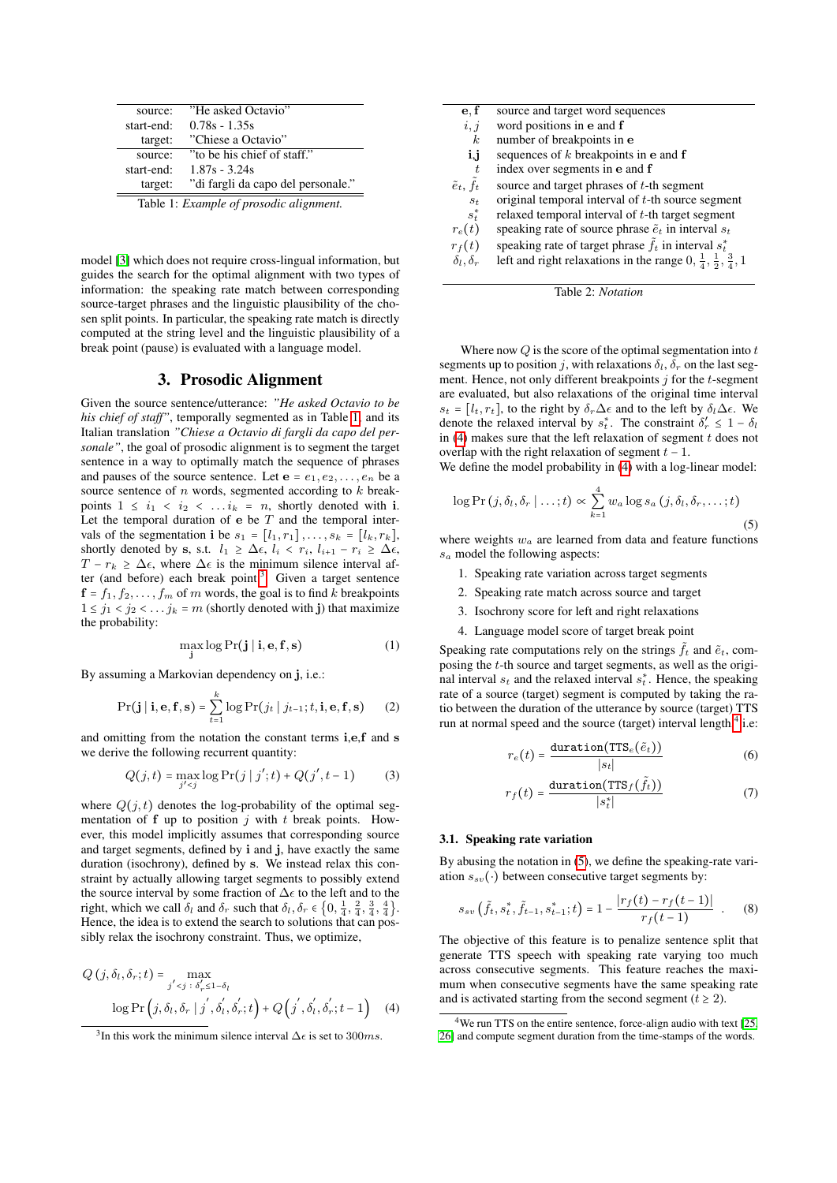<span id="page-1-0"></span>

| source:    | "He asked Octavio"                 |
|------------|------------------------------------|
| start-end: | $0.78s - 1.35s$                    |
| target:    | "Chiese a Octavio"                 |
| source:    | "to be his chief of staff."        |
| start-end: | $1.87s - 3.24s$                    |
| target:    | "di fargli da capo del personale." |
|            |                                    |

Table 1: *Example of prosodic alignment.*

model [\[3\]](#page-4-2) which does not require cross-lingual information, but guides the search for the optimal alignment with two types of information: the speaking rate match between corresponding source-target phrases and the linguistic plausibility of the chosen split points. In particular, the speaking rate match is directly computed at the string level and the linguistic plausibility of a break point (pause) is evaluated with a language model.

## 3. Prosodic Alignment

Given the source sentence/utterance: *"He asked Octavio to be his chief of staff"*, temporally segmented as in Table [1,](#page-1-0) and its Italian translation *"Chiese a Octavio di fargli da capo del personale"*, the goal of prosodic alignment is to segment the target sentence in a way to optimally match the sequence of phrases and pauses of the source sentence. Let  $e = e_1, e_2, \ldots, e_n$  be a source sentence of  $n$  words, segmented according to  $k$  breakpoints  $1 \leq i_1 < i_2 < \ldots i_k = n$ , shortly denoted with i. Let the temporal duration of  $e$  be  $T$  and the temporal intervals of the segmentation i be  $s_1 = [l_1, r_1], \ldots, s_k = [l_k, r_k],$ shortly denoted by s, s.t.  $l_1 \geq \Delta \epsilon$ ,  $l_i < r_i$ ,  $l_{i+1} - r_i \geq \Delta \epsilon$ ,  $T - r_k > \Delta \epsilon$ , where  $\Delta \epsilon$  is the minimum silence interval after (and before) each break point. $3$  Given a target sentence  $f = f_1, f_2, \ldots, f_m$  of m words, the goal is to find k breakpoints  $1 \le j_1 < j_2 < \ldots j_k = m$  (shortly denoted with j) that maximize the probability:

$$
\max_{\mathbf{j}} \log \Pr(\mathbf{j} \mid \mathbf{i}, \mathbf{e}, \mathbf{f}, \mathbf{s}) \tag{1}
$$

By assuming a Markovian dependency on j, i.e.:

$$
\Pr(\mathbf{j} \mid \mathbf{i}, \mathbf{e}, \mathbf{f}, \mathbf{s}) = \sum_{t=1}^{k} \log \Pr(j_t \mid j_{t-1}; t, \mathbf{i}, \mathbf{e}, \mathbf{f}, \mathbf{s}) \tag{2}
$$

and omitting from the notation the constant terms i,e,f and s we derive the following recurrent quantity:

$$
Q(j,t) = \max_{j' < j} \log \Pr(j \mid j'; t) + Q(j', t-1) \tag{3}
$$

where  $Q(j, t)$  denotes the log-probability of the optimal segmentation of  $f$  up to position  $j$  with  $t$  break points. However, this model implicitly assumes that corresponding source and target segments, defined by i and j, have exactly the same duration (isochrony), defined by s. We instead relax this constraint by actually allowing target segments to possibly extend the source interval by some fraction of  $\Delta \epsilon$  to the left and to the right, which we call  $\delta_l$  and  $\delta_r$  such that  $\delta_l, \delta_r \in \left\{0, \frac{1}{4}, \frac{2}{4}, \frac{3}{4}, \frac{4}{4}\right\}$ . Hence, the idea is to extend the search to solutions that can possibly relax the isochrony constraint. Thus, we optimize,

<span id="page-1-2"></span>
$$
Q(j, \delta_l, \delta_r; t) = \max_{j' < j \; : \; \delta'_r \leq 1 - \delta_l} \log \Pr\left(j, \delta_l, \delta_r \mid j', \delta'_l, \delta'_r; t\right) + Q\left(j', \delta'_l, \delta'_r; t - 1\right) \tag{4}
$$

| source and target word sequences                                                      |
|---------------------------------------------------------------------------------------|
| word positions in e and f                                                             |
| number of breakpoints in e                                                            |
| sequences of $k$ breakpoints in $e$ and $f$                                           |
| index over segments in e and f                                                        |
| source and target phrases of t-th segment                                             |
| original temporal interval of t-th source segment                                     |
| relaxed temporal interval of $t$ -th target segment                                   |
| speaking rate of source phrase $\tilde{e}_t$ in interval $s_t$                        |
| speaking rate of target phrase $f_t$ in interval $s_t^*$                              |
| left and right relaxations in the range $0, \frac{1}{4}, \frac{1}{2}, \frac{3}{4}, 1$ |
|                                                                                       |



Where now  $Q$  is the score of the optimal segmentation into  $t$ segments up to position j, with relaxations  $\delta_l$ ,  $\delta_r$  on the last segment. Hence, not only different breakpoints  $j$  for the  $t$ -segment are evaluated, but also relaxations of the original time interval  $s_t = [l_t, r_t]$ , to the right by  $\delta_r \Delta \epsilon$  and to the left by  $\delta_l \Delta \epsilon$ . We denote the relaxed interval by  $s_t^*$ . The constraint  $\delta'_r \leq 1 - \delta_t$ in  $(4)$  makes sure that the left relaxation of segment t does not overlap with the right relaxation of segment  $t - 1$ .

We define the model probability in  $(4)$  with a log-linear model:

<span id="page-1-4"></span>
$$
\log \Pr\left(j, \delta_l, \delta_r \mid \ldots; t\right) \propto \sum_{k=1}^4 w_a \log s_a\left(j, \delta_l, \delta_r, \ldots; t\right)
$$
\n(5)

where weights  $w_a$  are learned from data and feature functions  $s_a$  model the following aspects:

- 1. Speaking rate variation across target segments
- 2. Speaking rate match across source and target
- 3. Isochrony score for left and right relaxations
- 4. Language model score of target break point

Speaking rate computations rely on the strings  $\tilde{f}_t$  and  $\tilde{e}_t$ , composing the t-th source and target segments, as well as the original interval  $s_t$  and the relaxed interval  $s_t^*$ . Hence, the speaking rate of a source (target) segment is computed by taking the ratio between the duration of the utterance by source (target) TTS run at normal speed and the source (target) interval length,<sup>[4](#page-1-3)</sup> i.e:

$$
r_e(t) = \frac{\text{duration}(\text{TTS}_e(\tilde{e}_t))}{|s_t|} \tag{6}
$$

$$
r_f(t) = \frac{\text{duration}(\text{ITS}_f(\tilde{f}_t))}{|s_t^*|} \tag{7}
$$

## 3.1. Speaking rate variation

By abusing the notation in [\(5\)](#page-1-4), we define the speaking-rate variation  $s_{sv}(\cdot)$  between consecutive target segments by:

$$
s_{sv}(\tilde{f}_t, s_t^*, \tilde{f}_{t-1}, s_{t-1}^*; t) = 1 - \frac{|r_f(t) - r_f(t-1)|}{r_f(t-1)} .
$$
 (8)

The objective of this feature is to penalize sentence split that generate TTS speech with speaking rate varying too much across consecutive segments. This feature reaches the maximum when consecutive segments have the same speaking rate and is activated starting from the second segment ( $t \geq 2$ ).

<span id="page-1-1"></span><sup>&</sup>lt;sup>3</sup>In this work the minimum silence interval  $\Delta \epsilon$  is set to 300ms.

<span id="page-1-3"></span><sup>&</sup>lt;sup>4</sup>We run TTS on the entire sentence, force-align audio with text [\[25,](#page-4-24) [26\]](#page-4-25) and compute segment duration from the time-stamps of the words.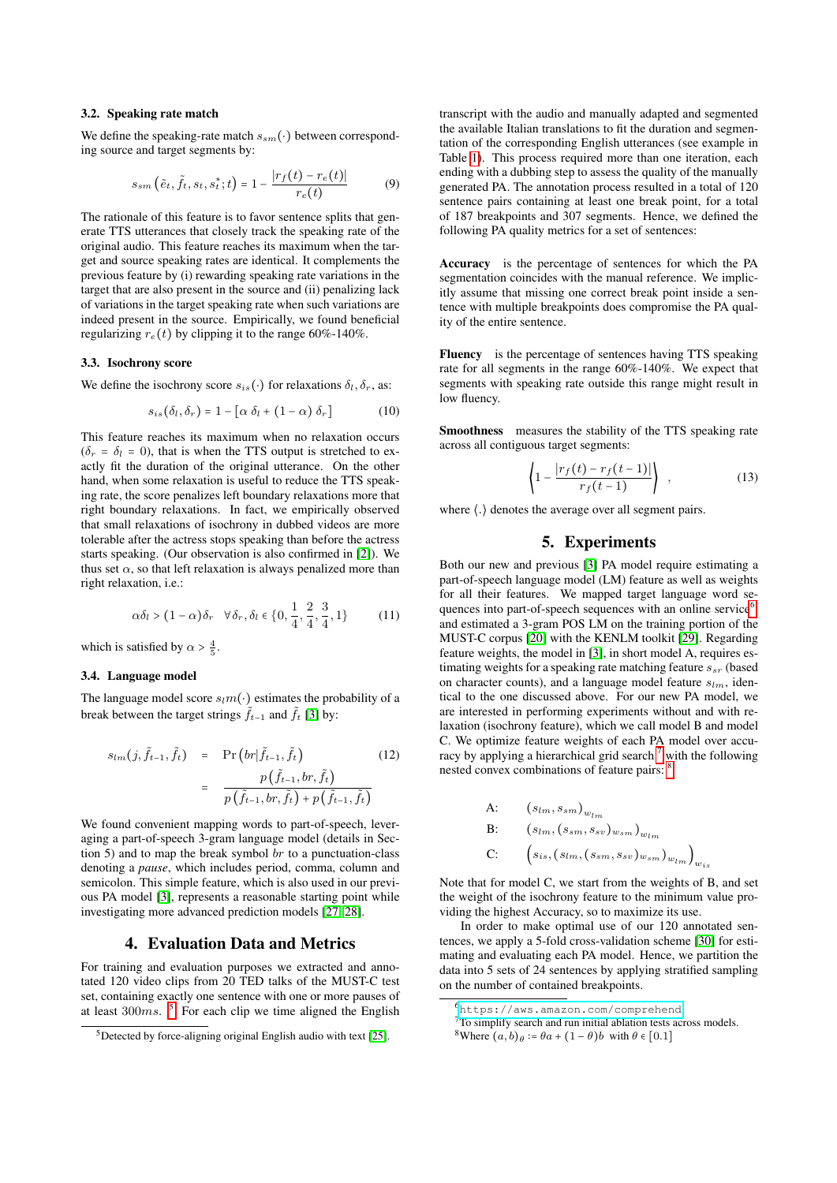## 3.2. Speaking rate match

We define the speaking-rate match  $s_{sm}(\cdot)$  between corresponding source and target segments by:

$$
s_{sm}(\tilde{e}_t, \tilde{f}_t, s_t, s_t^*; t) = 1 - \frac{|r_f(t) - r_e(t)|}{r_e(t)}
$$
(9)

The rationale of this feature is to favor sentence splits that generate TTS utterances that closely track the speaking rate of the original audio. This feature reaches its maximum when the target and source speaking rates are identical. It complements the previous feature by (i) rewarding speaking rate variations in the target that are also present in the source and (ii) penalizing lack of variations in the target speaking rate when such variations are indeed present in the source. Empirically, we found beneficial regularizing  $r_e(t)$  by clipping it to the range 60%-140%.

## 3.3. Isochrony score

We define the isochrony score  $s_{is}(\cdot)$  for relaxations  $\delta_l, \delta_r$ , as:

$$
s_{is}(\delta_l, \delta_r) = 1 - [\alpha \delta_l + (1 - \alpha) \delta_r]
$$
 (10)

This feature reaches its maximum when no relaxation occurs  $(\delta_r = \delta_l = 0)$ , that is when the TTS output is stretched to exactly fit the duration of the original utterance. On the other hand, when some relaxation is useful to reduce the TTS speaking rate, the score penalizes left boundary relaxations more that right boundary relaxations. In fact, we empirically observed that small relaxations of isochrony in dubbed videos are more tolerable after the actress stops speaking than before the actress starts speaking. (Our observation is also confirmed in [\[2\]](#page-4-1)). We thus set  $\alpha$ , so that left relaxation is always penalized more than right relaxation, i.e.:

$$
\alpha \delta_l > (1 - \alpha)\delta_r \quad \forall \delta_r, \delta_l \in \{0, \frac{1}{4}, \frac{2}{4}, \frac{3}{4}, 1\} \tag{11}
$$

which is satisfied by  $\alpha > \frac{4}{5}$ .

#### 3.4. Language model

The language model score  $s_l m(\cdot)$  estimates the probability of a break between the target strings  $\tilde{f}_{t-1}$  and  $\tilde{f}_t$  [\[3\]](#page-4-2) by:

$$
s_{lm}(j, \tilde{f}_{t-1}, \tilde{f}_t) = \Pr\left(br|\tilde{f}_{t-1}, \tilde{f}_t\right) = \frac{p(\tilde{f}_{t-1}, br, \tilde{f}_t)}{p(\tilde{f}_{t-1}, br, \tilde{f}_t) + p(\tilde{f}_{t-1}, \tilde{f}_t)}
$$
(12)

We found convenient mapping words to part-of-speech, leveraging a part-of-speech 3-gram language model (details in Section 5) and to map the break symbol  $br$  to a punctuation-class denoting a *pause*, which includes period, comma, column and semicolon. This simple feature, which is also used in our previous PA model [\[3\]](#page-4-2), represents a reasonable starting point while investigating more advanced prediction models [\[27,](#page-4-26) [28\]](#page-4-27).

## 4. Evaluation Data and Metrics

For training and evaluation purposes we extracted and annotated 120 video clips from 20 TED talks of the MUST-C test set, containing exactly one sentence with one or more pauses of at least  $300ms$ . <sup>[5](#page-2-0)</sup> For each clip we time aligned the English

transcript with the audio and manually adapted and segmented the available Italian translations to fit the duration and segmentation of the corresponding English utterances (see example in Table [1\)](#page-1-0). This process required more than one iteration, each ending with a dubbing step to assess the quality of the manually generated PA. The annotation process resulted in a total of 120 sentence pairs containing at least one break point, for a total of 187 breakpoints and 307 segments. Hence, we defined the following PA quality metrics for a set of sentences:

Accuracy is the percentage of sentences for which the PA segmentation coincides with the manual reference. We implicitly assume that missing one correct break point inside a sentence with multiple breakpoints does compromise the PA quality of the entire sentence.

Fluency is the percentage of sentences having TTS speaking rate for all segments in the range 60%-140%. We expect that segments with speaking rate outside this range might result in low fluency.

Smoothness measures the stability of the TTS speaking rate across all contiguous target segments:

$$
\left\langle 1 - \frac{|r_f(t) - r_f(t-1)|}{r_f(t-1)} \right\rangle , \qquad (13)
$$

where  $\langle . \rangle$  denotes the average over all segment pairs.

# 5. Experiments

Both our new and previous [\[3\]](#page-4-2) PA model require estimating a part-of-speech language model (LM) feature as well as weights for all their features. We mapped target language word se-quences into part-of-speech sequences with an online service<sup>[6](#page-2-1)</sup>, and estimated a 3-gram POS LM on the training portion of the MUST-C corpus [\[20\]](#page-4-19) with the KENLM toolkit [\[29\]](#page-4-28). Regarding feature weights, the model in [\[3\]](#page-4-2), in short model A, requires estimating weights for a speaking rate matching feature  $s_{sr}$  (based on character counts), and a language model feature  $s_{lm}$ , identical to the one discussed above. For our new PA model, we are interested in performing experiments without and with relaxation (isochrony feature), which we call model B and model C. We optimize feature weights of each PA model over accuracy by applying a hierarchical grid search  $<sup>7</sup>$  $<sup>7</sup>$  $<sup>7</sup>$  with the following</sup> nested convex combinations of feature pairs: [8](#page-2-3)

A: 
$$
(s_{lm}, s_{sm})_{w_{lm}}
$$
  
\nB:  $(s_{lm}, (s_{sm}, s_{sv})_{w_{sm}})_{w_{lm}}$   
\nC:  $(s_{is}, (s_{lm}, (s_{sm}, s_{sv})_{w_{sm}})_{w_{lm}})_{w_{is}}$ 

Note that for model C, we start from the weights of B, and set the weight of the isochrony feature to the minimum value providing the highest Accuracy, so to maximize its use.

In order to make optimal use of our 120 annotated sentences, we apply a 5-fold cross-validation scheme [\[30\]](#page-4-29) for estimating and evaluating each PA model. Hence, we partition the data into 5 sets of 24 sentences by applying stratified sampling on the number of contained breakpoints.

<span id="page-2-0"></span><sup>5</sup>Detected by force-aligning original English audio with text [\[25\]](#page-4-24).

<span id="page-2-1"></span><sup>6</sup><https://aws.amazon.com/comprehend>.

<span id="page-2-2"></span><sup>7</sup>To simplify search and run initial ablation tests across models.

<span id="page-2-3"></span><sup>&</sup>lt;sup>8</sup>Where  $(a, b)_{\theta}$  :=  $\theta a + (1 - \theta)b$  with  $\theta \in [0.1]$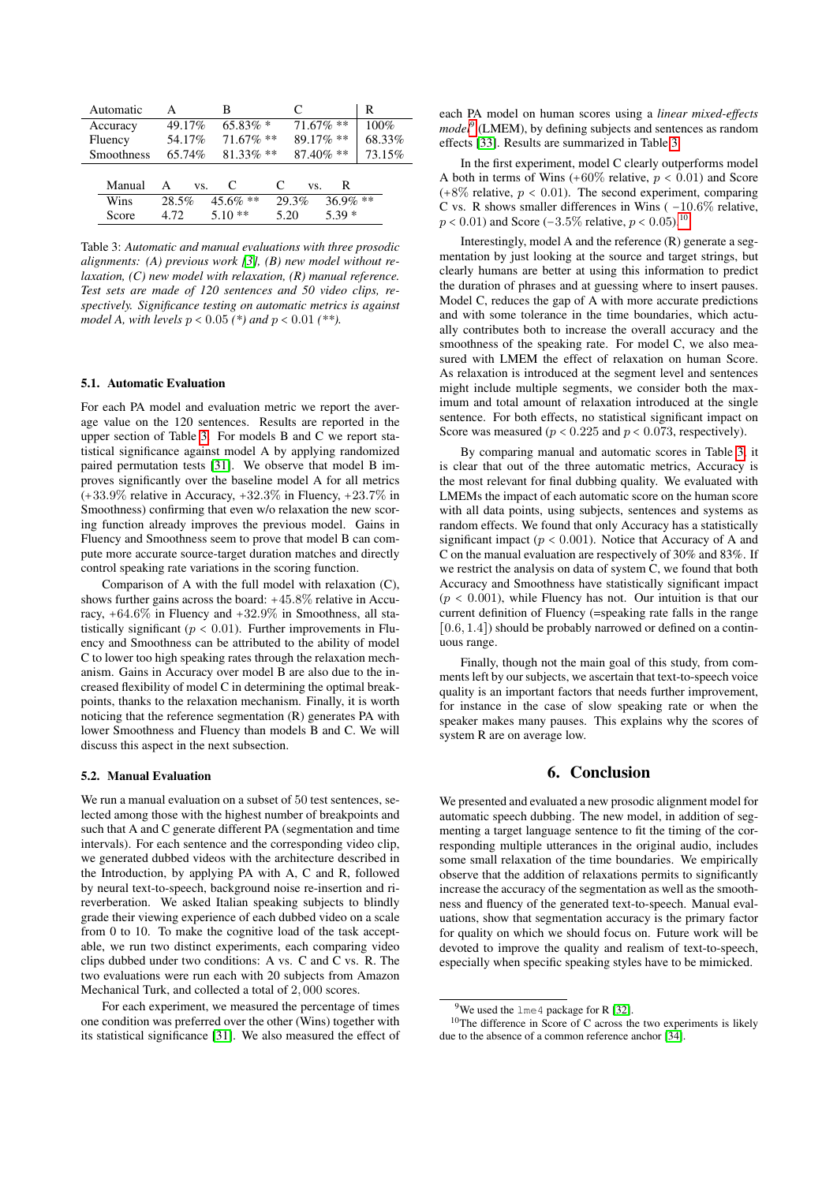<span id="page-3-0"></span>

| Automatic  | А        | в            | €                    | R      |
|------------|----------|--------------|----------------------|--------|
| Accuracy   | 49.17%   | $65.83\%$ *  | $71.67\%$ **         | 100%   |
| Fluency    | 54.17%   | $71.67\%$ ** | 89.17% **            | 68.33% |
| Smoothness | 65.74%   | $81.33\%$ ** | $87.40\%$ **         | 73.15% |
|            |          |              |                      |        |
| Manual     | A<br>VS. | C            | R<br>€<br>VS.        |        |
| Wins       | 28.5%    | $45.6\%$ **  | $36.9\%$ **<br>29.3% |        |
| Score      | 4.72     | $5.10**$     | $5.39*$<br>5.20      |        |
|            |          |              |                      |        |

Table 3: *Automatic and manual evaluations with three prosodic alignments: (A) previous work [\[3\]](#page-4-2), (B) new model without relaxation, (C) new model with relaxation, (R) manual reference. Test sets are made of 120 sentences and 50 video clips, respectively. Significance testing on automatic metrics is against model A, with levels* p < 0.05 *(\*) and* p < 0.01 *(\*\*).*

### 5.1. Automatic Evaluation

For each PA model and evaluation metric we report the average value on the 120 sentences. Results are reported in the upper section of Table [3.](#page-3-0) For models B and C we report statistical significance against model A by applying randomized paired permutation tests [\[31\]](#page-4-30). We observe that model B improves significantly over the baseline model A for all metrics  $(+33.9\%$  relative in Accuracy,  $+32.3\%$  in Fluency,  $+23.7\%$  in Smoothness) confirming that even w/o relaxation the new scoring function already improves the previous model. Gains in Fluency and Smoothness seem to prove that model B can compute more accurate source-target duration matches and directly control speaking rate variations in the scoring function.

Comparison of A with the full model with relaxation (C), shows further gains across the board: +45.8% relative in Accuracy, +64.6% in Fluency and +32.9% in Smoothness, all statistically significant ( $p < 0.01$ ). Further improvements in Fluency and Smoothness can be attributed to the ability of model C to lower too high speaking rates through the relaxation mechanism. Gains in Accuracy over model B are also due to the increased flexibility of model C in determining the optimal breakpoints, thanks to the relaxation mechanism. Finally, it is worth noticing that the reference segmentation (R) generates PA with lower Smoothness and Fluency than models B and C. We will discuss this aspect in the next subsection.

## 5.2. Manual Evaluation

We run a manual evaluation on a subset of 50 test sentences, selected among those with the highest number of breakpoints and such that A and C generate different PA (segmentation and time intervals). For each sentence and the corresponding video clip, we generated dubbed videos with the architecture described in the Introduction, by applying PA with A, C and R, followed by neural text-to-speech, background noise re-insertion and rireverberation. We asked Italian speaking subjects to blindly grade their viewing experience of each dubbed video on a scale from 0 to 10. To make the cognitive load of the task acceptable, we run two distinct experiments, each comparing video clips dubbed under two conditions: A vs. C and C vs. R. The two evaluations were run each with 20 subjects from Amazon Mechanical Turk, and collected a total of 2, 000 scores.

For each experiment, we measured the percentage of times one condition was preferred over the other (Wins) together with its statistical significance [\[31\]](#page-4-30). We also measured the effect of each PA model on human scores using a *linear mixed-effects model*<sup>[9](#page-3-1)</sup> (LMEM), by defining subjects and sentences as random effects [\[33\]](#page-4-31). Results are summarized in Table [3.](#page-3-0)

In the first experiment, model C clearly outperforms model A both in terms of Wins  $(+60\% \text{ relative}, p < 0.01)$  and Score  $(+8\%$  relative,  $p < 0.01$ ). The second experiment, comparing C vs. R shows smaller differences in Wins ( −10.6% relative,  $p < 0.01$ ) and Score (−3.5% relative,  $p < 0.05$ ).<sup>[10](#page-3-2)</sup>

Interestingly, model A and the reference (R) generate a segmentation by just looking at the source and target strings, but clearly humans are better at using this information to predict the duration of phrases and at guessing where to insert pauses. Model C, reduces the gap of A with more accurate predictions and with some tolerance in the time boundaries, which actually contributes both to increase the overall accuracy and the smoothness of the speaking rate. For model C, we also measured with LMEM the effect of relaxation on human Score. As relaxation is introduced at the segment level and sentences might include multiple segments, we consider both the maximum and total amount of relaxation introduced at the single sentence. For both effects, no statistical significant impact on Score was measured ( $p < 0.225$  and  $p < 0.073$ , respectively).

By comparing manual and automatic scores in Table [3,](#page-3-0) it is clear that out of the three automatic metrics, Accuracy is the most relevant for final dubbing quality. We evaluated with LMEMs the impact of each automatic score on the human score with all data points, using subjects, sentences and systems as random effects. We found that only Accuracy has a statistically significant impact ( $p < 0.001$ ). Notice that Accuracy of A and C on the manual evaluation are respectively of 30% and 83%. If we restrict the analysis on data of system C, we found that both Accuracy and Smoothness have statistically significant impact  $(p < 0.001)$ , while Fluency has not. Our intuition is that our current definition of Fluency (=speaking rate falls in the range [0.6, 1.4]) should be probably narrowed or defined on a continuous range.

Finally, though not the main goal of this study, from comments left by our subjects, we ascertain that text-to-speech voice quality is an important factors that needs further improvement, for instance in the case of slow speaking rate or when the speaker makes many pauses. This explains why the scores of system R are on average low.

## 6. Conclusion

We presented and evaluated a new prosodic alignment model for automatic speech dubbing. The new model, in addition of segmenting a target language sentence to fit the timing of the corresponding multiple utterances in the original audio, includes some small relaxation of the time boundaries. We empirically observe that the addition of relaxations permits to significantly increase the accuracy of the segmentation as well as the smoothness and fluency of the generated text-to-speech. Manual evaluations, show that segmentation accuracy is the primary factor for quality on which we should focus on. Future work will be devoted to improve the quality and realism of text-to-speech, especially when specific speaking styles have to be mimicked.

<span id="page-3-2"></span><span id="page-3-1"></span><sup>&</sup>lt;sup>9</sup>We used the lme4 package for R [\[32\]](#page-4-32).

 $10$ The difference in Score of C across the two experiments is likely due to the absence of a common reference anchor [\[34\]](#page-4-33).